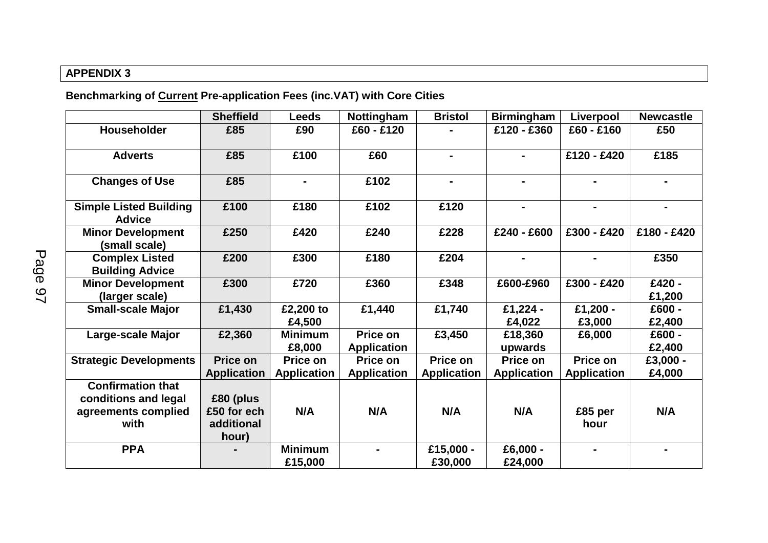## **APPENDIX 3**

**Benchmarking of Current Pre-application Fees (inc.VAT) with Core Cities**

|                                                                                 | <b>Sheffield</b>                                | <b>Leeds</b>                   | Nottingham                     | <b>Bristol</b>                 | <b>Birmingham</b>              | Liverpool                      | <b>Newcastle</b>   |
|---------------------------------------------------------------------------------|-------------------------------------------------|--------------------------------|--------------------------------|--------------------------------|--------------------------------|--------------------------------|--------------------|
| Householder                                                                     | £85                                             | £90                            | £60 - £120                     |                                | £120 - £360                    | £60 - £160                     | £50                |
| <b>Adverts</b>                                                                  | £85                                             | £100                           | £60                            | $\blacksquare$                 |                                | £120 - £420                    | £185               |
| <b>Changes of Use</b>                                                           | £85                                             | $\blacksquare$                 | £102                           | $\blacksquare$                 |                                | $\blacksquare$                 | $\blacksquare$     |
| <b>Simple Listed Building</b><br><b>Advice</b>                                  | £100                                            | £180                           | £102                           | £120                           | $\blacksquare$                 | $\blacksquare$                 | $\blacksquare$     |
| <b>Minor Development</b><br>(small scale)                                       | £250                                            | £420                           | £240                           | £228                           | £240 - £600                    | £300 - £420                    | £180 - £420        |
| <b>Complex Listed</b><br><b>Building Advice</b>                                 | £200                                            | £300                           | £180                           | £204                           |                                |                                | £350               |
| <b>Minor Development</b><br>(larger scale)                                      | £300                                            | £720                           | £360                           | £348                           | £600-£960                      | £300 - £420                    | £420 -<br>£1,200   |
| <b>Small-scale Major</b>                                                        | £1,430                                          | £2,200 to<br>£4,500            | £1,440                         | £1,740                         | £1,224 -<br>£4,022             | £1,200 -<br>£3,000             | £600 -<br>£2,400   |
| Large-scale Major                                                               | £2,360                                          | <b>Minimum</b><br>£8,000       | Price on<br><b>Application</b> | £3,450                         | £18,360<br>upwards             | £6,000                         | £600 -<br>£2,400   |
| <b>Strategic Developments</b>                                                   | Price on<br><b>Application</b>                  | Price on<br><b>Application</b> | Price on<br><b>Application</b> | Price on<br><b>Application</b> | Price on<br><b>Application</b> | Price on<br><b>Application</b> | £3,000 -<br>£4,000 |
| <b>Confirmation that</b><br>conditions and legal<br>agreements complied<br>with | £80 (plus<br>£50 for ech<br>additional<br>hour) | N/A                            | N/A                            | N/A                            | N/A                            | £85 per<br>hour                | N/A                |
| <b>PPA</b>                                                                      |                                                 | <b>Minimum</b><br>£15,000      |                                | £15,000 -<br>£30,000           | £6,000 -<br>£24,000            |                                | $\blacksquare$     |